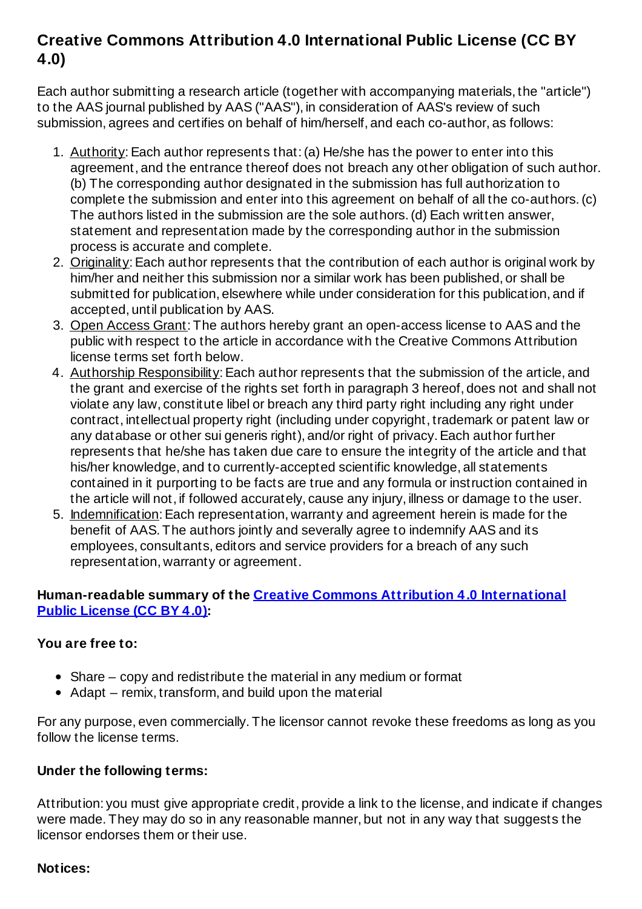# **Creative Commons Attribution 4.0 International Public License (CC BY 4.0)**

Each author submitting a research article (together with accompanying materials, the "article") to the AAS journal published by AAS ("AAS"), in consideration of AAS's review of such submission, agrees and certifies on behalf of him/herself, and each co-author, as follows:

- 1. Authority: Each author represents that: (a) He/she has the power to enter into this agreement, and the entrance thereof does not breach any other obligation of such author. (b) The corresponding author designated in the submission has full authorization to complete the submission and enter into this agreement on behalf of all the co-authors.(c) The authors listed in the submission are the sole authors.(d) Each written answer, statement and representation made by the corresponding author in the submission process is accurate and complete.
- 2. Originality:Each author represents that the contribution of each author is original work by him/her and neither this submission nor a similar work has been published, or shall be submitted for publication, elsewhere while under consideration for this publication, and if accepted, until publication by AAS.
- 3. Open Access Grant: The authors hereby grant an open-access license to AAS and the public with respect to the article in accordance with the Creative Commons Attribution license terms set forth below.
- 4. Authorship Responsibility: Each author represents that the submission of the article, and the grant and exercise of the rights set forth in paragraph 3 hereof, does not and shall not violate any law, constitute libel or breach any third party right including any right under contract, intellectual property right (including under copyright, trademark or patent law or any database or other sui generis right), and/or right of privacy.Each author further represents that he/she has taken due care to ensure the integrity of the article and that his/her knowledge, and to currently-accepted scientific knowledge, all statements contained in it purporting to be facts are true and any formula or instruction contained in the article will not, if followed accurately, cause any injury, illness or damage to the user.
- 5. Indemnification:Each representation, warranty and agreement herein is made for the benefit of AAS. The authors jointly and severally agree to indemnify AAS and its employees, consultants, editors and service providers for a breach of any such representation, warranty or agreement.

#### **[Human-readable](http://creativecommons.org/licenses/by/4.0/) summary of the Creative Commons Attribution 4.0 International Public License (CC BY 4.0):**

#### **You are free to:**

- Share copy and redistribute the material in any medium or format
- Adapt remix, transform, and build upon the material

For any purpose, even commercially. The licensor cannot revoke these freedoms as long as you follow the license terms.

### **Under the following terms:**

Attribution: you must give appropriate credit, provide a link to the license, and indicate if changes were made. They may do so in any reasonable manner, but not in any way that suggests the licensor endorses them or their use.

#### **Notices:**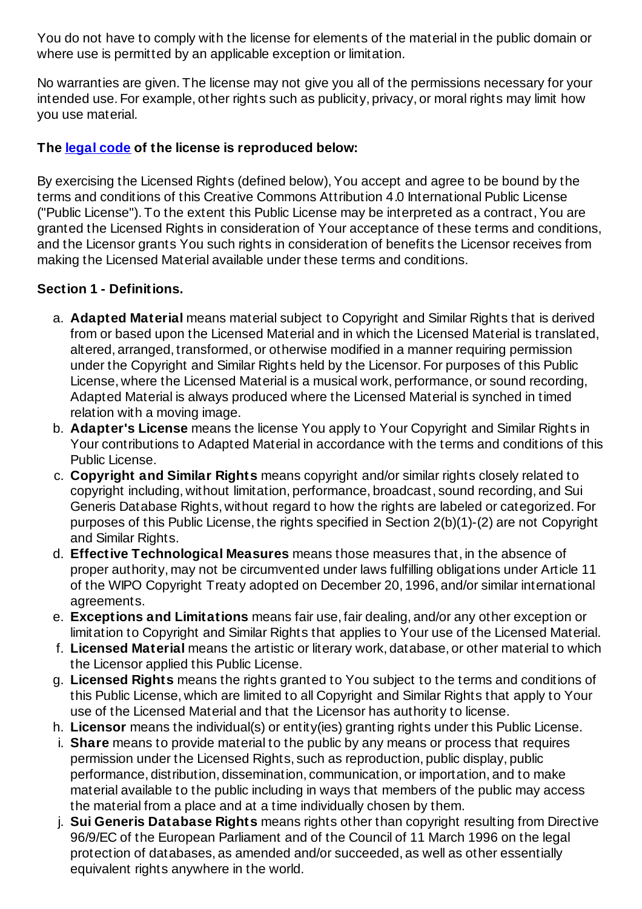You do not have to comply with the license for elements of the material in the public domain or where use is permitted by an applicable exception or limitation.

No warranties are given. The license may not give you all of the permissions necessary for your intended use. For example, other rights such as publicity, privacy, or moral rights may limit how you use material.

#### **The [legal](http://creativecommons.org/licenses/by/4.0/legalcode) code of the license is reproduced below:**

By exercising the Licensed Rights (defined below), You accept and agree to be bound by the terms and conditions of this Creative Commons Attribution 4.0 International Public License ("Public License"). To the extent this Public License may be interpreted as a contract,You are granted the Licensed Rights in consideration of Your acceptance of these terms and conditions, and the Licensor grants You such rights in consideration of benefits the Licensor receives from making the Licensed Material available under these terms and conditions.

#### **Section 1 - Definitions.**

- a. **Adapted Material** means material subject to Copyright and Similar Rights that is derived from or based upon the Licensed Material and in which the Licensed Material is translated, altered, arranged, transformed, or otherwise modified in a manner requiring permission under the Copyright and Similar Rights held by the Licensor. For purposes of this Public License, where the Licensed Material is a musical work, performance, or sound recording, Adapted Material is always produced where the Licensed Material is synched in timed relation with a moving image.
- b. **Adapter's License** means the license You apply to Your Copyright and Similar Rights in Your contributions to Adapted Material in accordance with the terms and conditions of this Public License.
- c. **Copyright and Similar Rights** means copyright and/or similar rights closely related to copyright including, without limitation, performance, broadcast, sound recording, and Sui Generis Database Rights, without regard to how the rights are labeled or categorized. For purposes of this Public License, the rights specified in Section 2(b)(1)-(2) are not Copyright and Similar Rights.
- d. **Effective Technological Measures** means those measures that, in the absence of proper authority, may not be circumvented under laws fulfilling obligations under Article 11 of the WIPO Copyright Treaty adopted on December 20, 1996, and/or similar international agreements.
- e. **Exceptions and Limitations** means fair use, fair dealing, and/or any other exception or limitation to Copyright and Similar Rights that applies to Your use of the Licensed Material.
- f. **Licensed Material** means the artistic or literary work, database, or other material to which the Licensor applied this Public License.
- g. **Licensed Rights** means the rights granted to You subject to the terms and conditions of this Public License, which are limited to all Copyright and Similar Rights that apply to Your use of the Licensed Material and that the Licensor has authority to license.
- h. **Licensor** means the individual(s) or entity(ies) granting rights under this Public License.
- i. **Share** means to provide material to the public by any means or process that requires permission under the Licensed Rights, such as reproduction, public display, public performance, distribution, dissemination, communication, or importation, and to make material available to the public including in ways that members of the public may access the material from a place and at a time individually chosen by them.
- j. **Sui Generis Database Rights** means rights other than copyright resulting from Directive 96/9/EC of the European Parliament and of the Council of 11 March 1996 on the legal protection of databases, as amended and/or succeeded, as well as other essentially equivalent rights anywhere in the world.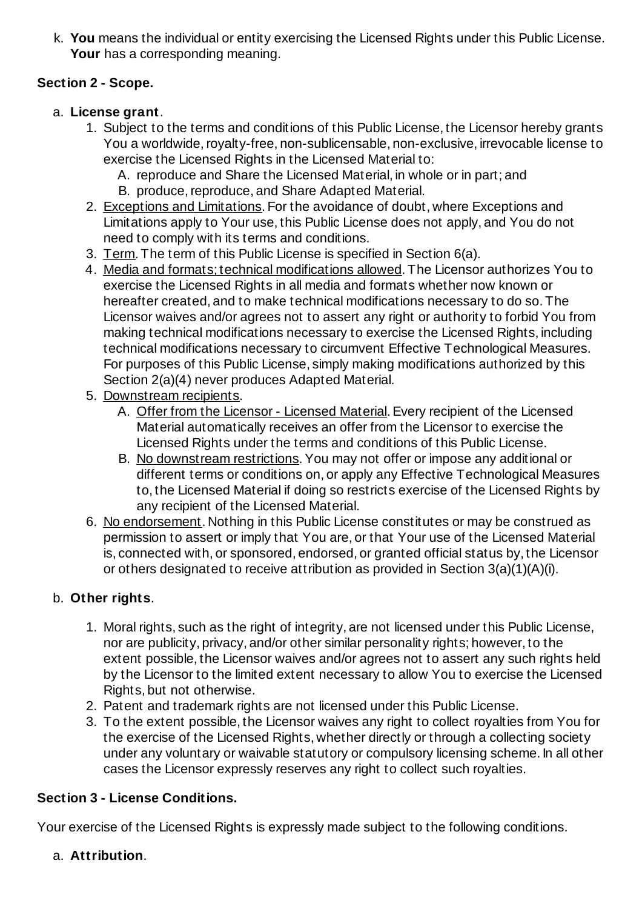k. **You** means the individual or entity exercising the Licensed Rights under this Public License. **Your** has a corresponding meaning.

### **Section 2 - Scope.**

- a. **License grant**.
	- 1. Subject to the terms and conditions of this Public License, the Licensor hereby grants You a worldwide, royalty-free, non-sublicensable, non-exclusive, irrevocable license to exercise the Licensed Rights in the Licensed Material to:
		- A. reproduce and Share the Licensed Material, in whole or in part; and B. produce, reproduce, and Share Adapted Material.
	- 2. Exceptions and Limitations. For the avoidance of doubt, where Exceptions and Limitations apply to Your use, this Public License does not apply, and You do not need to comply with its terms and conditions.
	- 3. Term. The term of this Public License is specified in Section 6(a).
	- 4. Media and formats; technical modifications allowed. The Licensor authorizes You to exercise the Licensed Rights in all media and formats whether now known or hereafter created, and to make technical modifications necessary to do so. The Licensor waives and/or agrees not to assert any right or authority to forbid You from making technical modifications necessary to exercise the Licensed Rights, including technical modifications necessary to circumvent Effective Technological Measures. For purposes of this Public License, simply making modifications authorized by this Section 2(a)(4) never produces Adapted Material.
	- 5. Downstream recipients.
		- A. Offer from the Licensor Licensed Material. Every recipient of the Licensed Material automatically receives an offer from the Licensor to exercise the Licensed Rights under the terms and conditions of this Public License.
		- B. No downstream restrictions. You may not offer or impose any additional or different terms or conditions on, or apply any Effective Technological Measures to, the Licensed Material if doing so restricts exercise of the Licensed Rights by any recipient of the Licensed Material.
	- 6. No endorsement. Nothing in this Public License constitutes or may be construed as permission to assert or imply that You are, or that Your use of the Licensed Material is, connected with, or sponsored, endorsed, or granted official status by, the Licensor or others designated to receive attribution as provided in Section 3(a)(1)(A)(i).

### b. **Other rights**.

- 1. Moral rights, such as the right of integrity, are not licensed under this Public License, nor are publicity, privacy, and/or other similar personality rights; however, to the extent possible, the Licensor waives and/or agrees not to assert any such rights held by the Licensor to the limited extent necessary to allow You to exercise the Licensed Rights, but not otherwise.
- 2. Patent and trademark rights are not licensed under this Public License.
- 3. To the extent possible, the Licensor waives any right to collect royalties from You for the exercise of the Licensed Rights, whether directly or through a collecting society under any voluntary or waivable statutory or compulsory licensing scheme. In all other cases the Licensor expressly reserves any right to collect such royalties.

### **Section 3 - License Conditions.**

Your exercise of the Licensed Rights is expressly made subject to the following conditions.

#### a. **Attribution**.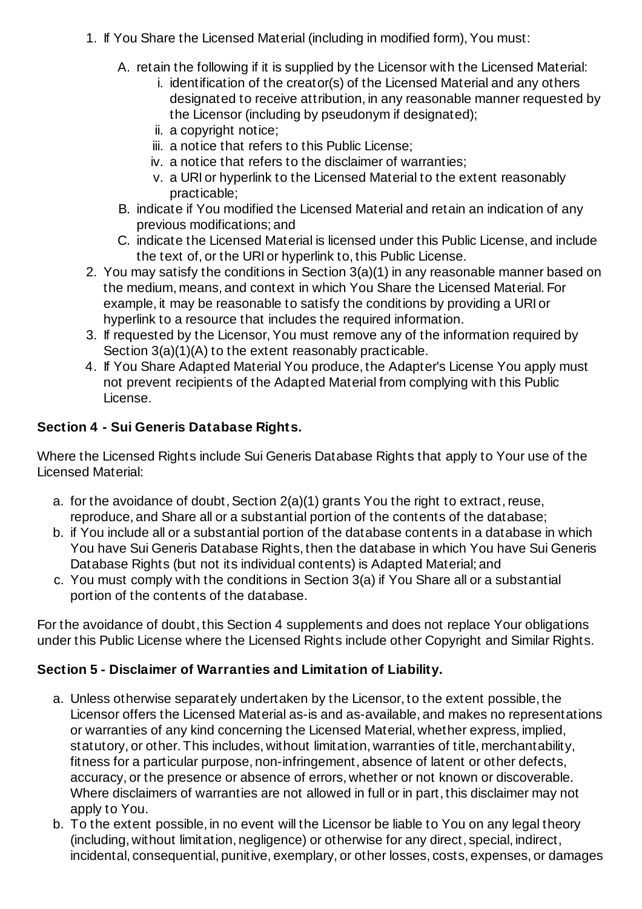- 1. If You Share the Licensed Material (including in modified form),You must:
	- A. retain the following if it is supplied by the Licensor with the Licensed Material:
		- i. identification of the creator(s) of the Licensed Material and any others designated to receive attribution, in any reasonable manner requested by the Licensor (including by pseudonym if designated);
		- ii. a copyright notice;
		- iii. a notice that refers to this Public License;
		- iv. a notice that refers to the disclaimer of warranties;
		- v. a URI or hyperlink to the Licensed Material to the extent reasonably practicable;
	- B. indicate if You modified the Licensed Material and retain an indication of any previous modifications; and
	- C. indicate the Licensed Material is licensed under this Public License, and include the text of, or the URI or hyperlink to, this Public License.
- 2. You may satisfy the conditions in Section 3(a)(1) in any reasonable manner based on the medium, means, and context in which You Share the Licensed Material. For example, it may be reasonable to satisfy the conditions by providing a URI or hyperlink to a resource that includes the required information.
- 3. If requested by the Licensor,You must remove any of the information required by Section 3(a)(1)(A) to the extent reasonably practicable.
- 4. If You Share Adapted Material You produce, the Adapter's License You apply must not prevent recipients of the Adapted Material from complying with this Public License.

## **Section 4 - Sui Generis Database Rights.**

Where the Licensed Rights include Sui Generis Database Rights that apply to Your use of the Licensed Material:

- a. for the avoidance of doubt, Section  $2(a)(1)$  grants You the right to extract, reuse, reproduce, and Share all or a substantial portion of the contents of the database;
- b. if You include all or a substantial portion of the database contents in a database in which You have Sui Generis Database Rights, then the database in which You have Sui Generis Database Rights (but not its individual contents) is Adapted Material; and
- c. You must comply with the conditions in Section 3(a) if You Share all or a substantial portion of the contents of the database.

For the avoidance of doubt, this Section 4 supplements and does not replace Your obligations under this Public License where the Licensed Rights include other Copyright and Similar Rights.

### **Section 5 - Disclaimer of Warranties and Limitation of Liability.**

- a. Unless otherwise separately undertaken by the Licensor, to the extent possible, the Licensor offers the Licensed Material as-is and as-available, and makes no representations or warranties of any kind concerning the Licensed Material, whether express, implied, statutory, or other. This includes, without limitation, warranties of title, merchantability, fitness for a particular purpose, non-infringement, absence of latent or other defects, accuracy, or the presence or absence of errors, whether or not known or discoverable. Where disclaimers of warranties are not allowed in full or in part, this disclaimer may not apply to You.
- b. To the extent possible, in no event will the Licensor be liable to You on any legal theory (including, without limitation, negligence) or otherwise for any direct, special, indirect, incidental, consequential, punitive, exemplary, or other losses, costs, expenses, or damages